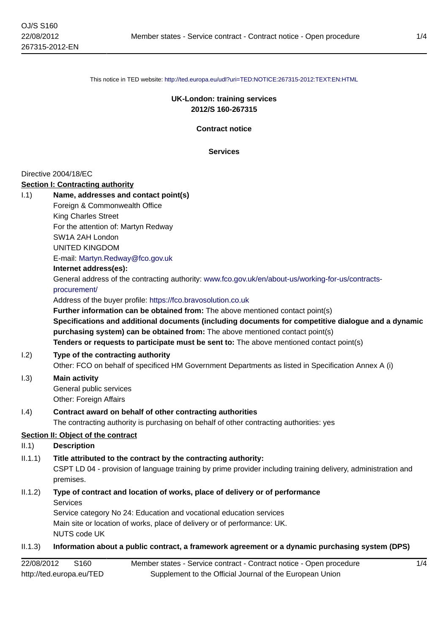This notice in TED website: <http://ted.europa.eu/udl?uri=TED:NOTICE:267315-2012:TEXT:EN:HTML>

### **UK-London: training services 2012/S 160-267315**

**Contract notice**

**Services**

#### Directive 2004/18/EC

#### **Section I: Contracting authority**

| 1.1)       | Name, addresses and contact point(s)                                                                                                                                                                                                                                             |
|------------|----------------------------------------------------------------------------------------------------------------------------------------------------------------------------------------------------------------------------------------------------------------------------------|
|            | Foreign & Commonwealth Office                                                                                                                                                                                                                                                    |
|            | <b>King Charles Street</b>                                                                                                                                                                                                                                                       |
|            | For the attention of: Martyn Redway                                                                                                                                                                                                                                              |
|            | SW1A 2AH London                                                                                                                                                                                                                                                                  |
|            | <b>UNITED KINGDOM</b>                                                                                                                                                                                                                                                            |
|            | E-mail: Martyn.Redway@fco.gov.uk                                                                                                                                                                                                                                                 |
|            | Internet address(es):                                                                                                                                                                                                                                                            |
|            | General address of the contracting authority: www.fco.gov.uk/en/about-us/working-for-us/contracts-<br>procurement/                                                                                                                                                               |
|            | Address of the buyer profile: https://fco.bravosolution.co.uk                                                                                                                                                                                                                    |
|            | Further information can be obtained from: The above mentioned contact point(s)                                                                                                                                                                                                   |
|            | Specifications and additional documents (including documents for competitive dialogue and a dynamic<br>purchasing system) can be obtained from: The above mentioned contact point(s)<br>Tenders or requests to participate must be sent to: The above mentioned contact point(s) |
|            |                                                                                                                                                                                                                                                                                  |
| 1.2)       | Type of the contracting authority<br>Other: FCO on behalf of specificed HM Government Departments as listed in Specification Annex A (i)                                                                                                                                         |
| 1.3)       | <b>Main activity</b>                                                                                                                                                                                                                                                             |
|            | General public services                                                                                                                                                                                                                                                          |
|            | Other: Foreign Affairs                                                                                                                                                                                                                                                           |
| 1.4)       | Contract award on behalf of other contracting authorities                                                                                                                                                                                                                        |
|            | The contracting authority is purchasing on behalf of other contracting authorities: yes                                                                                                                                                                                          |
|            | Section II: Object of the contract                                                                                                                                                                                                                                               |
| II.1       | <b>Description</b>                                                                                                                                                                                                                                                               |
| II.1.1)    | Title attributed to the contract by the contracting authority:                                                                                                                                                                                                                   |
|            | CSPT LD 04 - provision of language training by prime provider including training delivery, administration and<br>premises.                                                                                                                                                       |
| II.1.2)    | Type of contract and location of works, place of delivery or of performance<br><b>Services</b>                                                                                                                                                                                   |
|            | Service category No 24: Education and vocational education services                                                                                                                                                                                                              |
|            | Main site or location of works, place of delivery or of performance: UK.<br><b>NUTS code UK</b>                                                                                                                                                                                  |
|            |                                                                                                                                                                                                                                                                                  |
| II.1.3)    | Information about a public contract, a framework agreement or a dynamic purchasing system (DPS)                                                                                                                                                                                  |
| 22/08/2012 | S160<br>Member states - Service contract - Contract notice - Open procedure<br>1/4                                                                                                                                                                                               |
|            | http://ted.europa.eu/TED<br>Supplement to the Official Journal of the European Union                                                                                                                                                                                             |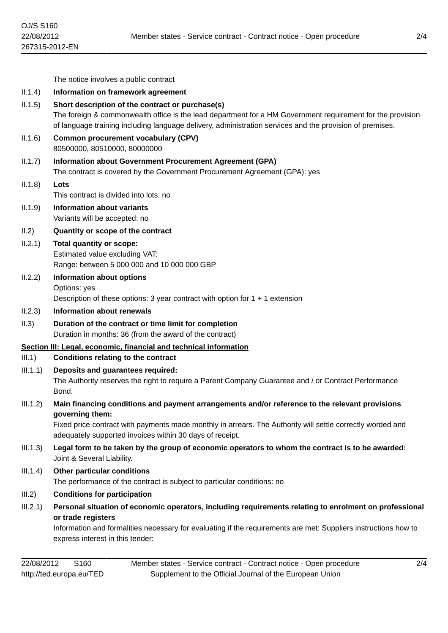|          | The notice involves a public contract                                                                                                                                                                                                                                                       |
|----------|---------------------------------------------------------------------------------------------------------------------------------------------------------------------------------------------------------------------------------------------------------------------------------------------|
| II.1.4)  | Information on framework agreement                                                                                                                                                                                                                                                          |
| II.1.5)  | Short description of the contract or purchase(s)<br>The foreign & commonwealth office is the lead department for a HM Government requirement for the provision<br>of language training including language delivery, administration services and the provision of premises.                  |
| II.1.6)  | <b>Common procurement vocabulary (CPV)</b><br>80500000, 80510000, 80000000                                                                                                                                                                                                                  |
| II.1.7)  | <b>Information about Government Procurement Agreement (GPA)</b><br>The contract is covered by the Government Procurement Agreement (GPA): yes                                                                                                                                               |
| (1.1.8)  | Lots<br>This contract is divided into lots: no                                                                                                                                                                                                                                              |
| 11.1.9)  | <b>Information about variants</b><br>Variants will be accepted: no                                                                                                                                                                                                                          |
| II.2)    | Quantity or scope of the contract                                                                                                                                                                                                                                                           |
| II.2.1)  | <b>Total quantity or scope:</b><br>Estimated value excluding VAT:<br>Range: between 5 000 000 and 10 000 000 GBP                                                                                                                                                                            |
| II.2.2)  | Information about options<br>Options: yes<br>Description of these options: 3 year contract with option for $1 + 1$ extension                                                                                                                                                                |
| II.2.3)  | <b>Information about renewals</b>                                                                                                                                                                                                                                                           |
| II.3)    | Duration of the contract or time limit for completion<br>Duration in months: 36 (from the award of the contract)                                                                                                                                                                            |
|          | Section III: Legal, economic, financial and technical information                                                                                                                                                                                                                           |
| III.1)   | <b>Conditions relating to the contract</b>                                                                                                                                                                                                                                                  |
| III.1.1) | Deposits and guarantees required:<br>The Authority reserves the right to require a Parent Company Guarantee and / or Contract Performance<br>Bond.                                                                                                                                          |
| III.1.2) | Main financing conditions and payment arrangements and/or reference to the relevant provisions<br>governing them:<br>Fixed price contract with payments made monthly in arrears. The Authority will settle correctly worded and<br>adequately supported invoices within 30 days of receipt. |
| III.1.3) | Legal form to be taken by the group of economic operators to whom the contract is to be awarded:<br>Joint & Several Liability.                                                                                                                                                              |
| III.1.4) | <b>Other particular conditions</b><br>The performance of the contract is subject to particular conditions: no                                                                                                                                                                               |
| III.2)   | <b>Conditions for participation</b>                                                                                                                                                                                                                                                         |
| III.2.1) | Personal situation of economic operators, including requirements relating to enrolment on professional<br>or trade registers<br>Information and formalities necessary for evaluating if the requirements are met: Suppliers instructions how to                                             |

lecessary tor evaluating if the requirements are met: Suppliers instructions how to express interest in this tender: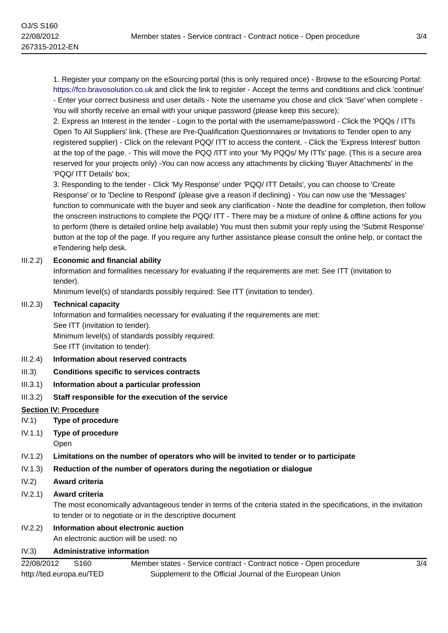1. Register your company on the eSourcing portal (this is only required once) - Browse to the eSourcing Portal: <https://fco.bravosolution.co.uk> and click the link to register - Accept the terms and conditions and click 'continue' - Enter your correct business and user details - Note the username you chose and click 'Save' when complete - You will shortly receive an email with your unique password (please keep this secure);

2. Express an Interest in the tender - Login to the portal with the username/password - Click the 'PQQs / ITTs Open To All Suppliers' link. (These are Pre-Qualification Questionnaires or Invitations to Tender open to any registered supplier) - Click on the relevant PQQ/ ITT to access the content. - Click the 'Express Interest' button at the top of the page. - This will move the PQQ /ITT into your 'My PQQs/ My ITTs' page. (This is a secure area reserved for your projects only) -You can now access any attachments by clicking 'Buyer Attachments' in the 'PQQ/ ITT Details' box;

3. Responding to the tender - Click 'My Response' under 'PQQ/ ITT Details', you can choose to 'Create Response' or to 'Decline to Respond' (please give a reason if declining) - You can now use the 'Messages' function to communicate with the buyer and seek any clarification - Note the deadline for completion, then follow the onscreen instructions to complete the PQQ/ ITT - There may be a mixture of online & offline actions for you to perform (there is detailed online help available) You must then submit your reply using the 'Submit Response' button at the top of the page. If you require any further assistance please consult the online help, or contact the eTendering help desk.

### III.2.2) **Economic and financial ability**

Information and formalities necessary for evaluating if the requirements are met: See ITT (invitation to tender).

Minimum level(s) of standards possibly required: See ITT (invitation to tender).

#### III.2.3) **Technical capacity**

Information and formalities necessary for evaluating if the requirements are met: See ITT (invitation to tender). Minimum level(s) of standards possibly required: See ITT (invitation to tender).

- III.2.4) **Information about reserved contracts**
- III.3) **Conditions specific to services contracts**
- III.3.1) **Information about a particular profession**
- III.3.2) **Staff responsible for the execution of the service**

### **Section IV: Procedure**

- IV.1) **Type of procedure**
- IV.1.1) **Type of procedure**
	- Open
- IV.1.2) **Limitations on the number of operators who will be invited to tender or to participate**
- IV.1.3) **Reduction of the number of operators during the negotiation or dialogue**
- IV.2) **Award criteria**

#### IV.2.1) **Award criteria**

The most economically advantageous tender in terms of the criteria stated in the specifications, in the invitation to tender or to negotiate or in the descriptive document

# IV.2.2) **Information about electronic auction**

An electronic auction will be used: no

# IV.3) **Administrative information**

22/08/2012 S160 http://ted.europa.eu/TED Member states - Service contract - Contract notice - Open procedure Supplement to the Official Journal of the European Union